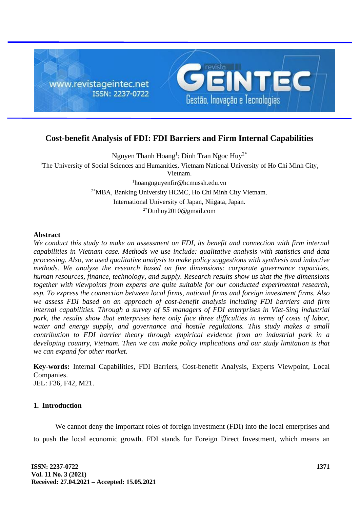

# **Cost-benefit Analysis of FDI: FDI Barriers and Firm Internal Capabilities**

Nguyen Thanh Hoang<sup>1</sup>; Dinh Tran Ngoc Huy<sup>2\*</sup> <sup>1</sup>The University of Social Sciences and Humanities, Vietnam National University of Ho Chi Minh City, Vietnam. <sup>1</sup>hoangnguyenfir@hcmussh.edu.vn 2\*MBA, Banking University HCMC, Ho Chi Minh City Vietnam. International University of Japan, Niigata, Japan. 2\*Dtnhuy2010@gmail.com

#### **Abstract**

*We conduct this study to make an assessment on FDI, its benefit and connection with firm internal capabilities in Vietnam case. Methods we use include: qualitative analysis with statistics and data processing. Also, we used qualitative analysis to make policy suggestions with synthesis and inductive methods. We analyze the research based on five dimensions: corporate governance capacities, human resources, finance, technology, and supply. Research results show us that the five dimensions together with viewpoints from experts are quite suitable for our conducted experimental research, esp. To express the connection between local firms, national firms and foreign investment firms. Also we assess FDI based on an approach of cost-benefit analysis including FDI barriers and firm internal capabilities. Through a survey of 55 managers of FDI enterprises in Viet-Sing industrial park, the results show that enterprises here only face three difficulties in terms of costs of labor, water and energy supply, and governance and hostile regulations. This study makes a small contribution to FDI barrier theory through empirical evidence from an industrial park in a developing country, Vietnam. Then we can make policy implications and our study limitation is that we can expand for other market.*

**Key-words:** Internal Capabilities, FDI Barriers, Cost-benefit Analysis, Experts Viewpoint, Local Companies.

JEL: F36, F42, M21.

# **1. Introduction**

We cannot deny the important roles of foreign investment (FDI) into the local enterprises and to push the local economic growth. FDI stands for Foreign Direct Investment, which means an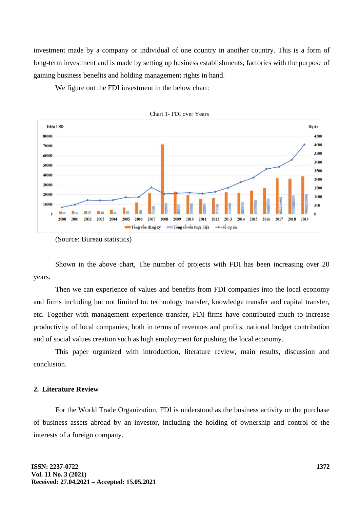investment made by a company or individual of one country in another country. This is a form of long-term investment and is made by setting up business establishments, factories with the purpose of gaining business benefits and holding management rights in hand.

We figure out the FDI investment in the below chart:





Shown in the above chart, The number of projects with FDI has been increasing over 20 years.

Then we can experience of values and benefits from FDI companies into the local economy and firms including but not limited to: technology transfer, knowledge transfer and capital transfer, etc. Together with management experience transfer, FDI firms have contributed much to increase productivity of local companies, both in terms of revenues and profits, national budget contribution and of social values creation such as high employment for pushing the local economy.

This paper organized with introduction, literature review, main results, discussion and conclusion.

### **2. Literature Review**

For the World Trade Organization, FDI is understood as the business activity or the purchase of business assets abroad by an investor, including the holding of ownership and control of the interests of a foreign company.

<sup>(</sup>Source: Bureau statistics)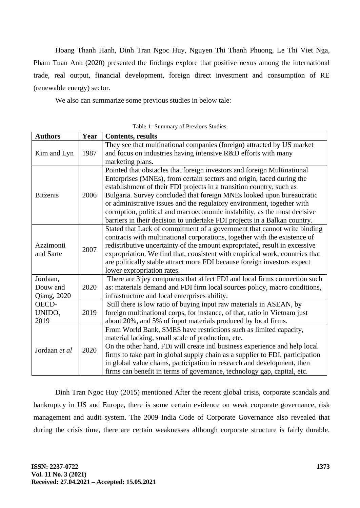Hoang Thanh Hanh, Dinh Tran Ngoc Huy, Nguyen Thi Thanh Phuong, Le Thi Viet Nga, Pham Tuan Anh (2020) presented the findings explore that positive nexus among the international trade, real output, financial development, foreign direct investment and consumption of RE (renewable energy) sector.

We also can summarize some previous studies in below tale:

| <b>Authors</b>                      | Year | <b>Contents, results</b>                                                                                                                                                                                                                                                                                                                                                                                                                                                                                                              |
|-------------------------------------|------|---------------------------------------------------------------------------------------------------------------------------------------------------------------------------------------------------------------------------------------------------------------------------------------------------------------------------------------------------------------------------------------------------------------------------------------------------------------------------------------------------------------------------------------|
| Kim and Lyn                         | 1987 | They see that multinational companies (foreign) attracted by US market<br>and focus on industries having intensive R&D efforts with many<br>marketing plans.                                                                                                                                                                                                                                                                                                                                                                          |
| <b>Bitzenis</b>                     | 2006 | Pointed that obstacles that foreign investors and foreign Multinational<br>Enterprises (MNEs), from certain sectors and origin, faced during the<br>establishment of their FDI projects in a transition country, such as<br>Bulgaria. Survey concluded that foreign MNEs looked upon bureaucratic<br>or administrative issues and the regulatory environment, together with<br>corruption, political and macroeconomic instability, as the most decisive<br>barriers in their decision to undertake FDI projects in a Balkan country. |
| Azzimonti<br>and Sarte              | 2007 | Stated that Lack of commitment of a government that cannot write binding<br>contracts with multinational corporations, together with the existence of<br>redistributive uncertainty of the amount expropriated, result in excessive<br>expropriation. We find that, consistent with empirical work, countries that<br>are politically stable attract more FDI because foreign investors expect<br>lower expropriation rates.                                                                                                          |
| Jordaan,<br>Douw and<br>Qiang, 2020 | 2020 | There are 3 jey compnents that affect FDI and local firms connection such<br>as: materials demand and FDI firm local sources policy, macro conditions,<br>infrastructure and local enterprises ability.                                                                                                                                                                                                                                                                                                                               |
| OECD-<br>UNIDO,<br>2019             | 2019 | Still there is low ratio of buying input raw materials in ASEAN, by<br>foreign multinational corps, for instance, of that, ratio in Vietnam just<br>about 20%, and 5% of input materials produced by local firms.                                                                                                                                                                                                                                                                                                                     |
| Jordaan et al                       | 2020 | From World Bank, SMES have restrictions such as limited capacity,<br>material lacking, small scale of production, etc.<br>On the other hand, FDi will create intl business experience and help local<br>firms to take part in global supply chain as a supplier to FDI, participation<br>in global value chains, participation in research and development, then<br>firms can benefit in terms of governance, technology gap, capital, etc.                                                                                           |

Table 1- Summary of Previous Studies

Dinh Tran Ngoc Huy (2015) mentioned After the recent global crisis, corporate scandals and bankruptcy in US and Europe, there is some certain evidence on weak corporate governance, risk management and audit system. The 2009 India Code of Corporate Governance also revealed that during the crisis time, there are certain weaknesses although corporate structure is fairly durable.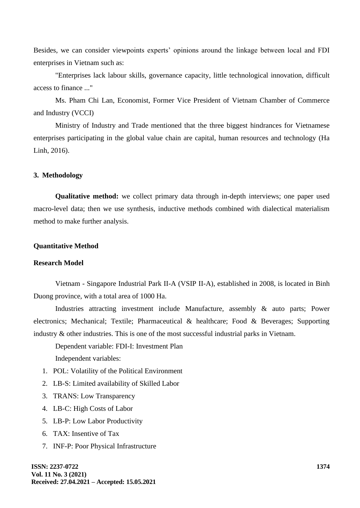Besides, we can consider viewpoints experts' opinions around the linkage between local and FDI enterprises in Vietnam such as:

"Enterprises lack labour skills, governance capacity, little technological innovation, difficult access to finance ..."

Ms. Pham Chi Lan, Economist, Former Vice President of Vietnam Chamber of Commerce and Industry (VCCI)

Ministry of Industry and Trade mentioned that the three biggest hindrances for Vietnamese enterprises participating in the global value chain are capital, human resources and technology (Ha Linh, 2016).

### **3. Methodology**

**Qualitative method:** we collect primary data through in-depth interviews; one paper used macro-level data; then we use synthesis, inductive methods combined with dialectical materialism method to make further analysis.

#### **Quantitative Method**

### **Research Model**

Vietnam - Singapore Industrial Park II-A (VSIP II-A), established in 2008, is located in Binh Duong province, with a total area of 1000 Ha.

Industries attracting investment include Manufacture, assembly & auto parts; Power electronics; Mechanical; Textile; Pharmaceutical & healthcare; Food & Beverages; Supporting industry & other industries. This is one of the most successful industrial parks in Vietnam.

Dependent variable: FDI-I: Investment Plan

Independent variables:

- 1. POL: Volatility of the Political Environment
- 2. LB-S: Limited availability of Skilled Labor
- 3. TRANS: Low Transparency
- 4. LB-C: High Costs of Labor
- 5. LB-P: Low Labor Productivity
- 6. TAX: Insentive of Tax
- 7. INF-P: Poor Physical Infrastructure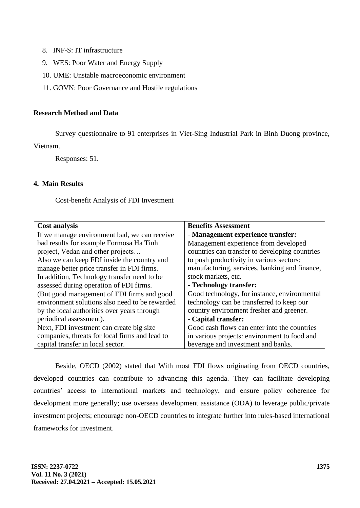- 8. INF-S: IT infrastructure
- 9. WES: Poor Water and Energy Supply
- 10. UME: Unstable macroeconomic environment
- 11. GOVN: Poor Governance and Hostile regulations

# **Research Method and Data**

Survey questionnaire to 91 enterprises in Viet-Sing Industrial Park in Binh Duong province, Vietnam.

Responses: 51.

## **4. Main Results**

Cost-benefit Analysis of FDI Investment

| <b>Cost analysis</b>                           | <b>Benefits Assessment</b>                     |
|------------------------------------------------|------------------------------------------------|
| If we manage environment bad, we can receive   | - Management experience transfer:              |
| bad results for example Formosa Ha Tinh        | Management experience from developed           |
| project, Vedan and other projects              | countries can transfer to developing countries |
| Also we can keep FDI inside the country and    | to push productivity in various sectors:       |
| manage better price transfer in FDI firms.     | manufacturing, services, banking and finance,  |
| In addition, Technology transfer need to be    | stock markets, etc.                            |
| assessed during operation of FDI firms.        | - Technology transfer:                         |
| (But good management of FDI firms and good     | Good technology, for instance, environmental   |
| environment solutions also need to be rewarded | technology can be transferred to keep our      |
| by the local authorities over years through    | country environment fresher and greener.       |
| periodical assessment).                        | - Capital transfer:                            |
| Next, FDI investment can create big size       | Good cash flows can enter into the countries   |
| companies, threats for local firms and lead to | in various projects: environment to food and   |
| capital transfer in local sector.              | beverage and investment and banks.             |

Beside, OECD (2002) stated that With most FDI flows originating from OECD countries, developed countries can contribute to advancing this agenda. They can facilitate developing countries' access to international markets and technology, and ensure policy coherence for development more generally; use overseas development assistance (ODA) to leverage public/private investment projects; encourage non-OECD countries to integrate further into rules-based international frameworks for investment.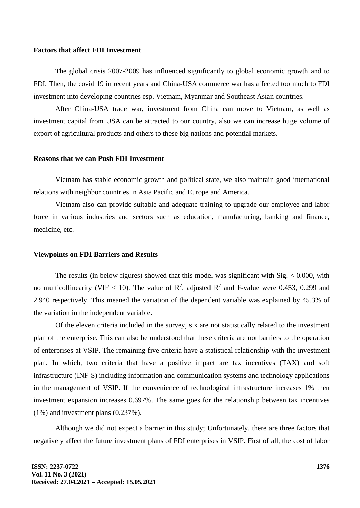#### **Factors that affect FDI Investment**

The global crisis 2007-2009 has influenced significantly to global economic growth and to FDI. Then, the covid 19 in recent years and China-USA commerce war has affected too much to FDI investment into developing countries esp. Vietnam, Myanmar and Southeast Asian countries.

After China-USA trade war, investment from China can move to Vietnam, as well as investment capital from USA can be attracted to our country, also we can increase huge volume of export of agricultural products and others to these big nations and potential markets.

### **Reasons that we can Push FDI Investment**

Vietnam has stable economic growth and political state, we also maintain good international relations with neighbor countries in Asia Pacific and Europe and America.

Vietnam also can provide suitable and adequate training to upgrade our employee and labor force in various industries and sectors such as education, manufacturing, banking and finance, medicine, etc.

### **Viewpoints on FDI Barriers and Results**

The results (in below figures) showed that this model was significant with  $Sig. < 0.000$ , with no multicollinearity (VIF < 10). The value of  $\mathbb{R}^2$ , adjusted  $\mathbb{R}^2$  and F-value were 0.453, 0.299 and 2.940 respectively. This meaned the variation of the dependent variable was explained by 45.3% of the variation in the independent variable.

Of the eleven criteria included in the survey, six are not statistically related to the investment plan of the enterprise. This can also be understood that these criteria are not barriers to the operation of enterprises at VSIP. The remaining five criteria have a statistical relationship with the investment plan. In which, two criteria that have a positive impact are tax incentives (TAX) and soft infrastructure (INF-S) including information and communication systems and technology applications in the management of VSIP. If the convenience of technological infrastructure increases 1% then investment expansion increases 0.697%. The same goes for the relationship between tax incentives (1%) and investment plans (0.237%).

Although we did not expect a barrier in this study; Unfortunately, there are three factors that negatively affect the future investment plans of FDI enterprises in VSIP. First of all, the cost of labor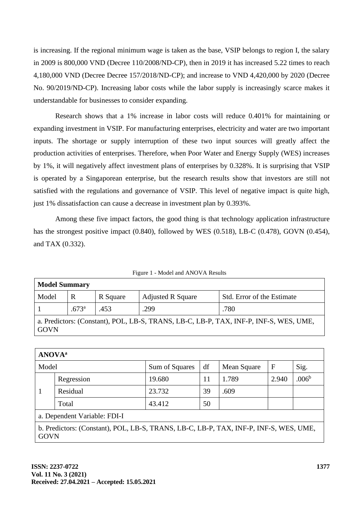is increasing. If the regional minimum wage is taken as the base, VSIP belongs to region I, the salary in 2009 is 800,000 VND (Decree 110/2008/ND-CP), then in 2019 it has increased 5.22 times to reach 4,180,000 VND (Decree Decree 157/2018/ND-CP); and increase to VND 4,420,000 by 2020 (Decree No. 90/2019/ND-CP). Increasing labor costs while the labor supply is increasingly scarce makes it understandable for businesses to consider expanding.

Research shows that a 1% increase in labor costs will reduce 0.401% for maintaining or expanding investment in VSIP. For manufacturing enterprises, electricity and water are two important inputs. The shortage or supply interruption of these two input sources will greatly affect the production activities of enterprises. Therefore, when Poor Water and Energy Supply (WES) increases by 1%, it will negatively affect investment plans of enterprises by 0.328%. It is surprising that VSIP is operated by a Singaporean enterprise, but the research results show that investors are still not satisfied with the regulations and governance of VSIP. This level of negative impact is quite high, just 1% dissatisfaction can cause a decrease in investment plan by 0.393%.

Among these five impact factors, the good thing is that technology application infrastructure has the strongest positive impact (0.840), followed by WES (0.518), LB-C (0.478), GOVN (0.454), and TAX (0.332).

Figure 1 - Model and ANOVA Results

| <b>Model Summary</b>                                                                                 |                |          |                          |                            |  |  |  |
|------------------------------------------------------------------------------------------------------|----------------|----------|--------------------------|----------------------------|--|--|--|
| Model                                                                                                |                | R Square | <b>Adjusted R Square</b> | Std. Error of the Estimate |  |  |  |
|                                                                                                      | $.673^{\rm a}$ | .453     | .299                     | .780                       |  |  |  |
| a. Predictors: (Constant), POL, LB-S, TRANS, LB-C, LB-P, TAX, INF-P, INF-S, WES, UME,<br><b>GOVN</b> |                |          |                          |                            |  |  |  |

| <b>ANOVA</b> <sup>a</sup>                                                                            |            |                |    |             |       |                   |  |
|------------------------------------------------------------------------------------------------------|------------|----------------|----|-------------|-------|-------------------|--|
| Model                                                                                                |            | Sum of Squares | df | Mean Square | F     | Sig.              |  |
|                                                                                                      | Regression | 19.680         | 11 | 1.789       | 2.940 | .006 <sup>b</sup> |  |
|                                                                                                      | Residual   | 23.732         | 39 | .609        |       |                   |  |
|                                                                                                      | Total      | 43.412         | 50 |             |       |                   |  |
| a. Dependent Variable: FDI-I                                                                         |            |                |    |             |       |                   |  |
| b. Predictors: (Constant), POL, LB-S, TRANS, LB-C, LB-P, TAX, INF-P, INF-S, WES, UME,<br><b>GOVN</b> |            |                |    |             |       |                   |  |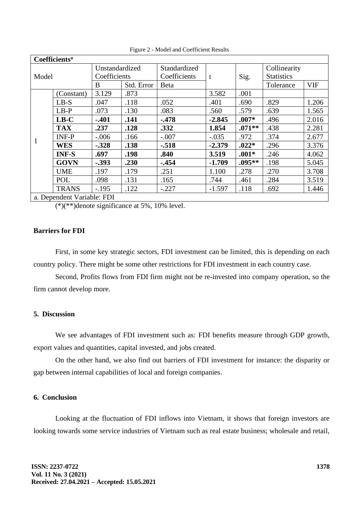| Coefficients <sup>a</sup>  |              |                |            |              |          |          |                   |            |
|----------------------------|--------------|----------------|------------|--------------|----------|----------|-------------------|------------|
| Model                      |              | Unstandardized |            | Standardized |          |          | Collinearity      |            |
|                            |              | Coefficients   |            | Coefficients | t        | Sig.     | <b>Statistics</b> |            |
|                            |              | B              | Std. Error | <b>B</b> eta |          |          | Tolerance         | <b>VIF</b> |
|                            | (Constant)   | 3.129          | .873       |              | 3.582    | .001     |                   |            |
|                            | $LB-S$       | .047           | .118       | .052         | .401     | .690     | .829              | 1.206      |
| 1                          | $LB-P$       | .073           | .130       | .083         | .560     | .579     | .639              | 1.565      |
|                            | $LB-C$       | $-.401$        | .141       | $-.478$      | $-2.845$ | $.007*$  | .496              | 2.016      |
|                            | <b>TAX</b>   | .237           | .128       | .332         | 1.854    | $.071**$ | .438              | 2.281      |
|                            | <b>INF-P</b> | $-.006$        | .166       | $-.007$      | $-.035$  | .972     | .374              | 2.677      |
|                            | <b>WES</b>   | $-.328$        | .138       | $-.518$      | $-2.379$ | $.022*$  | .296              | 3.376      |
|                            | <b>INF-S</b> | .697           | .198       | .840         | 3.519    | $.001*$  | .246              | 4.062      |
|                            | <b>GOVN</b>  | $-.393$        | .230       | $-.454$      | $-1.709$ | .095**   | .198              | 5.045      |
|                            | <b>UME</b>   | .197           | .179       | .251         | 1.100    | .278     | .270              | 3.708      |
|                            | <b>POL</b>   | .098           | .131       | .165         | .744     | .461     | .284              | 3.519      |
|                            | <b>TRANS</b> | $-.195$        | .122       | $-.227$      | $-1.597$ | .118     | .692              | 1.446      |
| a. Dependent Variable: FDI |              |                |            |              |          |          |                   |            |

Figure 2 - Model and Coefficient Results

 $(*)(**)$ denote significance at 5%, 10% level.

### **Barriers for FDI**

First, in some key strategic sectors, FDI investment can be limited, this is depending on each country policy. There might be some other restrictions for FDI investment in each country case.

Second, Profits flows from FDI firm might not be re-invested into company operation, so the firm cannot develop more.

# **5. Discussion**

We see advantages of FDI investment such as: FDI benefits measure through GDP growth, export values and quantities, capital invested, and jobs created.

On the other hand, we also find out barriers of FDI investment for instance: the disparity or gap between internal capabilities of local and foreign companies.

# **6. Conclusion**

Looking at the fluctuation of FDI inflows into Vietnam, it shows that foreign investors are looking towards some service industries of Vietnam such as real estate business; wholesale and retail,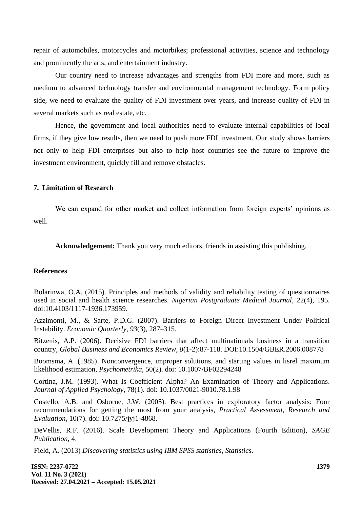repair of automobiles, motorcycles and motorbikes; professional activities, science and technology and prominently the arts, and entertainment industry.

Our country need to increase advantages and strengths from FDI more and more, such as medium to advanced technology transfer and environmental management technology. Form policy side, we need to evaluate the quality of FDI investment over years, and increase quality of FDI in several markets such as real estate, etc.

Hence, the government and local authorities need to evaluate internal capabilities of local firms, if they give low results, then we need to push more FDI investment. Our study shows barriers not only to help FDI enterprises but also to help host countries see the future to improve the investment environment, quickly fill and remove obstacles.

#### **7. Limitation of Research**

We can expand for other market and collect information from foreign experts' opinions as well.

**Acknowledgement:** Thank you very much editors, friends in assisting this publishing.

### **References**

Bolarinwa, O.A. (2015). Principles and methods of validity and reliability testing of questionnaires used in social and health science researches. *Nigerian Postgraduate Medical Journal*, 22(4), 195. doi:10.4103/1117-1936.173959.

Azzimonti, M., & Sarte, P.D.G. (2007). Barriers to Foreign Direct Investment Under Political Instability. *Economic Quarterly, 93*(3), 287–315.

Bitzenis, A.P. (2006). Decisive FDI barriers that affect multinationals business in a transition country, *Global Business and Economics Review, 8*(1-2):87-118. DOI:10.1504/GBER.2006.008778

Boomsma, A. (1985). Nonconvergence, improper solutions, and starting values in lisrel maximum likelihood estimation, *Psychometrika*, 50(2). doi: 10.1007/BF02294248

Cortina, J.M. (1993). What Is Coefficient Alpha? An Examination of Theory and Applications. *Journal of Applied Psychology*, 78(1). doi: 10.1037/0021-9010.78.1.98

Costello, A.B. and Osborne, J.W. (2005). Best practices in exploratory factor analysis: Four recommendations for getting the most from your analysis, *Practical Assessment, Research and Evaluation*, 10(7). doi: 10.7275/jyj1-4868.

DeVellis, R.F. (2016). Scale Development Theory and Applications (Fourth Edition), *SAGE Publication*, 4.

Field, A. (2013) *Discovering statistics using IBM SPSS statistics*, *Statistics*.

**ISSN: 2237-0722 Vol. 11 No. 3 (2021) Received: 27.04.2021 – Accepted: 15.05.2021**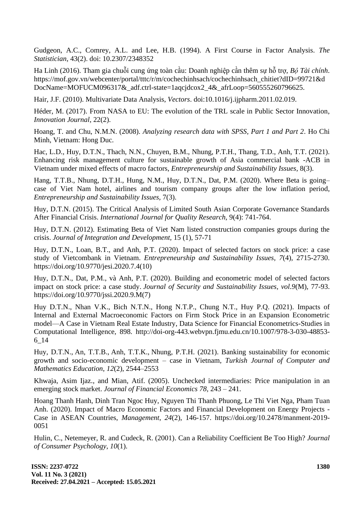Gudgeon, A.C., Comrey, A.L. and Lee, H.B. (1994). A First Course in Factor Analysis. *The Statistician*, 43(2). doi: 10.2307/2348352

Ha Linh (2016). Tham gia chuỗi cung ứng toàn cầu: Doanh nghiệp cần thêm sự hỗ trợ, *Bộ Tài chính*. https://mof.gov.vn/webcenter/portal/tttc/r/m/cochechinhsach/cochechinhsach\_chitiet?dID=99721&d DocName=MOFUCM096317&\_adf.ctrl-state=1aqcjdcox2\_4&\_afrLoop=560555260796625.

Hair, J.F. (2010). Multivariate Data Analysis, *Vectors*. doi:10.1016/j.ijpharm.2011.02.019.

Héder, M. (2017). From NASA to EU: The evolution of the TRL scale in Public Sector Innovation, *Innovation Journal*, 22(2).

Hoang, T. and Chu, N.M.N. (2008). *Analyzing research data with SPSS, Part 1 and Part 2*. Ho Chi Minh, Vietnam: Hong Duc.

Hac, L.D., Huy, D.T.N., Thach, N.N., Chuyen, B.M., Nhung, P.T.H., Thang, T.D., Anh, T.T. (2021). Enhancing risk management culture for sustainable growth of Asia commercial bank -ACB in Vietnam under mixed effects of macro factors, *Entrepreneurship and Sustainability Issues,* 8(3).

Hang, T.T.B., Nhung, D.T.H., Hung, N.M., Huy, D.T.N., Dat, P.M. (2020). Where Beta is going– case of Viet Nam hotel, airlines and tourism company groups after the low inflation period, *Entrepreneurship and Sustainability Issues,* 7(3).

Huy, D.T.N. (2015). The Critical Analysis of Limited South Asian Corporate Governance Standards After Financial Crisis. *International Journal for Quality Research,* 9(4): 741-764.

Huy, D.T.N. (2012). Estimating Beta of Viet Nam listed construction companies groups during the crisis. *Journal of Integration and Development,* 15 (1), 57-71

Huy, D.T.N., Loan, B.T., and Anh, P.T. (2020). Impact of selected factors on stock price: a case study of Vietcombank in Vietnam. *Entrepreneurship and Sustainability Issues, 7*(4)*,* 2715-2730. https://doi.org/10.9770/jesi.2020.7.4(10)

Huy, D.T.N., Dat, P.M., và Anh, P.T. (2020). Building and econometric model of selected factors impact on stock price: a case study. *Journal of Security and Sustainability Issues, vol.9*(M), 77-93. https://doi.org/10.9770/jssi.2020.9.M(7)

Huy D.T.N., Nhan V.K., Bich N.T.N., Hong N.T.P., Chung N.T., Huy P.Q. (2021). Impacts of Internal and External Macroeconomic Factors on Firm Stock Price in an Expansion Econometric model—A Case in Vietnam Real Estate Industry, Data Science for Financial Econometrics-Studies in Computational Intelligence, 898. http://doi-org-443.webvpn.fjmu.edu.cn/10.1007/978-3-030-48853- 6\_14

Huy, D.T.N., An, T.T.B., Anh, T.T.K., Nhung, P.T.H. (2021). Banking sustainability for economic growth and socio-economic development – case in Vietnam, *Turkish Journal of Computer and Mathematics Education*, *12*(2), 2544–2553

Khwaja, Asim Ijaz., and Mian, Atif. (2005). Unchecked intermediaries: Price manipulation in an emerging stock market. *Journal of Financial Economics 78,* 243 – 241.

Hoang Thanh Hanh, Dinh Tran Ngoc Huy, Nguyen Thi Thanh Phuong, Le Thi Viet Nga, Pham Tuan Anh. (2020). Impact of Macro Economic Factors and Financial Development on Energy Projects - Case in ASEAN Countries, *Management*, *24*(2), 146-157. https://doi.org/10.2478/manment-2019- 0051

Hulin, C., Netemeyer, R. and Cudeck, R. (2001). Can a Reliability Coefficient Be Too High? *Journal of Consumer Psychology*, *10*(1).